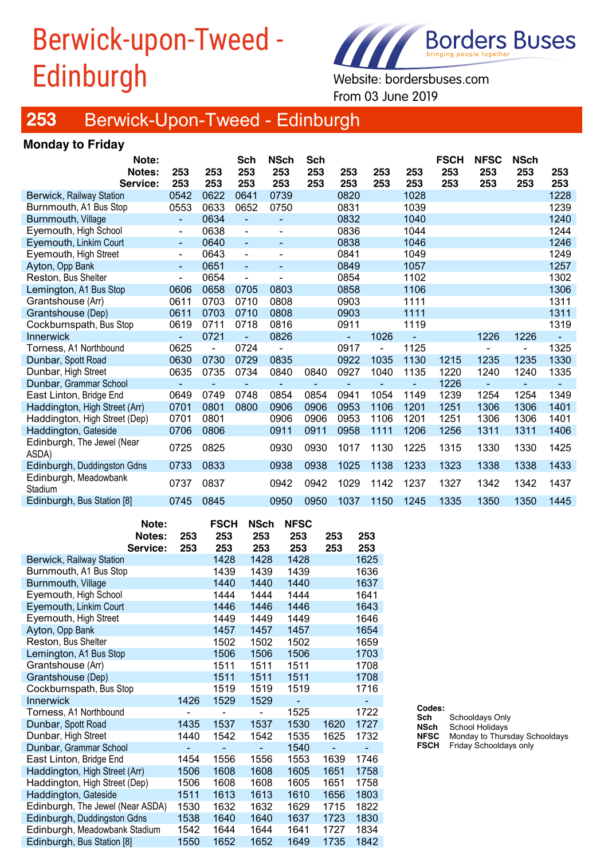# Berwick-upon-Tweed - Edinburgh Website: bordersbuses.com



From 03 June 2019

### **253** Berwick-Upon-Tweed - Edinburgh

### **Monday to Friday**

| Note:                               |                          |                | Sch            | <b>NSch</b>              | Sch            |      |                          |      | <b>FSCH</b> | <b>NFSC</b> | <b>NSch</b>    |      |
|-------------------------------------|--------------------------|----------------|----------------|--------------------------|----------------|------|--------------------------|------|-------------|-------------|----------------|------|
| <b>Notes:</b>                       | 253                      | 253            | 253            | 253                      | 253            | 253  | 253                      | 253  | 253         | 253         | 253            | 253  |
| Service:                            | 253                      | 253            | 253            | 253                      | 253            | 253  | 253                      | 253  | 253         | 253         | 253            | 253  |
| Berwick, Railway Station            | 0542                     | 0622           | 0641           | 0739                     |                | 0820 |                          | 1028 |             |             |                | 1228 |
| Burnmouth, A1 Bus Stop              | 0553                     | 0633           | 0652           | 0750                     |                | 0831 |                          | 1039 |             |             |                | 1239 |
| Burnmouth, Village                  | ÷,                       | 0634           | $\blacksquare$ |                          |                | 0832 |                          | 1040 |             |             |                | 1240 |
| Eyemouth, High School               | $\overline{\phantom{0}}$ | 0638           | $\blacksquare$ |                          |                | 0836 |                          | 1044 |             |             |                | 1244 |
| Eyemouth, Linkim Court              | $\blacksquare$           | 0640           | $\blacksquare$ |                          |                | 0838 |                          | 1046 |             |             |                | 1246 |
| Eyemouth, High Street               | $\overline{\phantom{0}}$ | 0643           | $\blacksquare$ |                          |                | 0841 |                          | 1049 |             |             |                | 1249 |
| Ayton, Opp Bank                     | $\blacksquare$           | 0651           | $\blacksquare$ | $\overline{\phantom{a}}$ |                | 0849 |                          | 1057 |             |             |                | 1257 |
| Reston, Bus Shelter                 | $\overline{a}$           | 0654           | $\overline{a}$ |                          |                | 0854 |                          | 1102 |             |             |                | 1302 |
| Lemington, A1 Bus Stop              | 0606                     | 0658           | 0705           | 0803                     |                | 0858 |                          | 1106 |             |             |                | 1306 |
| Grantshouse (Arr)                   | 0611                     | 0703           | 0710           | 0808                     |                | 0903 |                          | 1111 |             |             |                | 1311 |
| Grantshouse (Dep)                   | 0611                     | 0703           | 0710           | 0808                     |                | 0903 |                          | 1111 |             |             |                | 1311 |
| Cockburnspath, Bus Stop             | 0619                     | 0711           | 0718           | 0816                     |                | 0911 |                          | 1119 |             |             |                | 1319 |
| Innerwick                           | -                        | 0721           |                | 0826                     |                | ٠    | 1026                     |      |             | 1226        | 1226           |      |
| Torness, A1 Northbound              | 0625                     | $\blacksquare$ | 0724           |                          |                | 0917 | $\overline{\phantom{0}}$ | 1125 |             |             | $\blacksquare$ | 1325 |
| Dunbar, Spott Road                  | 0630                     | 0730           | 0729           | 0835                     |                | 0922 | 1035                     | 1130 | 1215        | 1235        | 1235           | 1330 |
| Dunbar, High Street                 | 0635                     | 0735           | 0734           | 0840                     | 0840           | 0927 | 1040                     | 1135 | 1220        | 1240        | 1240           | 1335 |
| Dunbar, Grammar School              |                          |                | $\blacksquare$ |                          | $\blacksquare$ |      |                          |      | 1226        |             |                |      |
| East Linton, Bridge End             | 0649                     | 0749           | 0748           | 0854                     | 0854           | 0941 | 1054                     | 1149 | 1239        | 1254        | 1254           | 1349 |
| Haddington, High Street (Arr)       | 0701                     | 0801           | 0800           | 0906                     | 0906           | 0953 | 1106                     | 1201 | 1251        | 1306        | 1306           | 1401 |
| Haddington, High Street (Dep)       | 0701                     | 0801           |                | 0906                     | 0906           | 0953 | 1106                     | 1201 | 1251        | 1306        | 1306           | 1401 |
| Haddington, Gateside                | 0706                     | 0806           |                | 0911                     | 0911           | 0958 | 1111                     | 1206 | 1256        | 1311        | 1311           | 1406 |
| Edinburgh, The Jewel (Near<br>ASDA) | 0725                     | 0825           |                | 0930                     | 0930           | 1017 | 1130                     | 1225 | 1315        | 1330        | 1330           | 1425 |
| Edinburgh, Duddingston Gdns         | 0733                     | 0833           |                | 0938                     | 0938           | 1025 | 1138                     | 1233 | 1323        | 1338        | 1338           | 1433 |
| Edinburgh, Meadowbank<br>Stadium    | 0737                     | 0837           |                | 0942                     | 0942           | 1029 | 1142                     | 1237 | 1327        | 1342        | 1342           | 1437 |
| Edinburgh, Bus Station [8]          | 0745                     | 0845           |                | 0950                     | 0950           | 1037 | 1150                     | 1245 | 1335        | 1350        | 1350           | 1445 |
|                                     |                          |                |                |                          |                |      |                          |      |             |             |                |      |

|                                  | Note:    |      | <b>FSCH</b> | <b>NSch</b> | <b>NFSC</b> |      |      |
|----------------------------------|----------|------|-------------|-------------|-------------|------|------|
|                                  | Notes:   | 253  | 253         | 253         | 253         | 253  | 253  |
|                                  | Service: | 253  | 253         | 253         | 253         | 253  | 253  |
| <b>Berwick, Railway Station</b>  |          |      | 1428        | 1428        | 1428        |      | 1625 |
| Burnmouth, A1 Bus Stop           |          |      | 1439        | 1439        | 1439        |      | 1636 |
| <b>Burnmouth, Village</b>        |          |      | 1440        | 1440        | 1440        |      | 1637 |
| Eyemouth, High School            |          |      | 1444        | 1444        | 1444        |      | 1641 |
| Eyemouth, Linkim Court           |          |      | 1446        | 1446        | 1446        |      | 1643 |
| Eyemouth, High Street            |          |      | 1449        | 1449        | 1449        |      | 1646 |
| Ayton, Opp Bank                  |          |      | 1457        | 1457        | 1457        |      | 1654 |
| Reston, Bus Shelter              |          |      | 1502        | 1502        | 1502        |      | 1659 |
| Lemington, A1 Bus Stop           |          |      | 1506        | 1506        | 1506        |      | 1703 |
| Grantshouse (Arr)                |          |      | 1511        | 1511        | 1511        |      | 1708 |
| Grantshouse (Dep)                |          |      | 1511        | 1511        | 1511        |      | 1708 |
| Cockburnspath, Bus Stop          |          |      | 1519        | 1519        | 1519        |      | 1716 |
| Innerwick                        |          | 1426 | 1529        | 1529        |             |      |      |
| Torness, A1 Northbound           |          |      |             |             | 1525        |      | 1722 |
| Dunbar, Spott Road               |          | 1435 | 1537        | 1537        | 1530        | 1620 | 1727 |
| Dunbar, High Street              |          | 1440 | 1542        | 1542        | 1535        | 1625 | 1732 |
| Dunbar, Grammar School           |          |      |             |             | 1540        |      |      |
| East Linton, Bridge End          |          | 1454 | 1556        | 1556        | 1553        | 1639 | 1746 |
| Haddington, High Street (Arr)    |          | 1506 | 1608        | 1608        | 1605        | 1651 | 1758 |
| Haddington, High Street (Dep)    |          | 1506 | 1608        | 1608        | 1605        | 1651 | 1758 |
| Haddington, Gateside             |          | 1511 | 1613        | 1613        | 1610        | 1656 | 1803 |
| Edinburgh, The Jewel (Near ASDA) |          | 1530 | 1632        | 1632        | 1629        | 1715 | 1822 |
| Edinburgh, Duddingston Gdns      |          | 1538 | 1640        | 1640        | 1637        | 1723 | 1830 |
| Edinburgh, Meadowbank Stadium    |          | 1542 | 1644        | 1644        | 1641        | 1727 | 1834 |
| Edinburgh, Bus Station [8]       |          | 1550 | 1652        | 1652        | 1649        | 1735 | 1842 |

| Codes:      |                               |
|-------------|-------------------------------|
| Sch         | Schooldays Only               |
| <b>NSch</b> | School Holidays               |
| <b>NFSC</b> | Monday to Thursday Schooldays |
| <b>FSCH</b> | Friday Schooldays only        |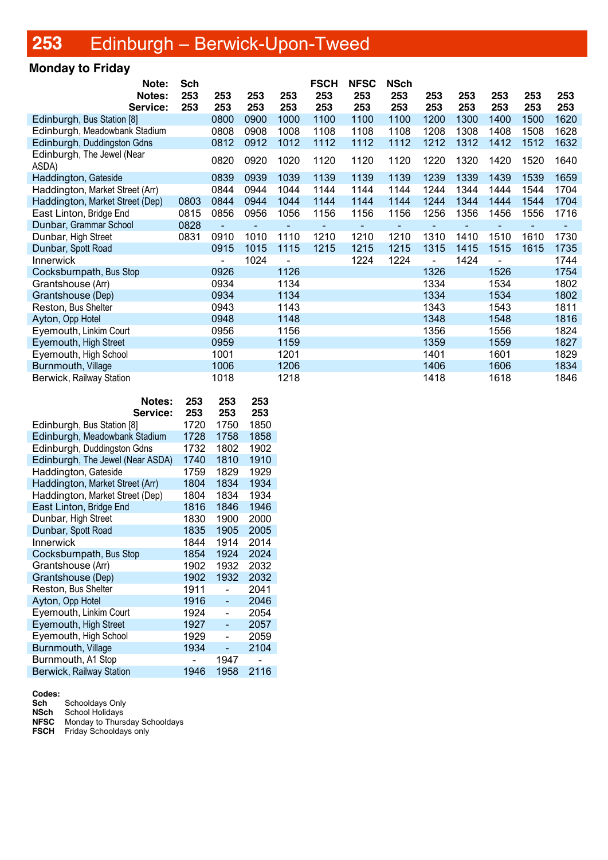# **253** Edinburgh – Berwick-Upon-Tweed

### **Monday to Friday**

| Note:                               | <b>Sch</b> |                          |      |      | <b>FSCH</b> | <b>NFSC</b>     | <b>NSch</b> |      |      |      |      |      |
|-------------------------------------|------------|--------------------------|------|------|-------------|-----------------|-------------|------|------|------|------|------|
| Notes:                              | 253        | 253                      | 253  | 253  | 253         | 253             | 253         | 253  | 253  | 253  | 253  | 253  |
| Service:                            | 253        | 253                      | 253  | 253  | 253         | 253             | 253         | 253  | 253  | 253  | 253  | 253  |
| Edinburgh, Bus Station [8]          |            | 0800                     | 0900 | 1000 | 1100        | 1100            | 1100        | 1200 | 1300 | 1400 | 1500 | 1620 |
| Edinburgh, Meadowbank Stadium       |            | 0808                     | 0908 | 1008 | 1108        | 1108            | 1108        | 1208 | 1308 | 1408 | 1508 | 1628 |
| Edinburgh, Duddingston Gdns         |            | 0812                     | 0912 | 1012 | 1112        | 1112            | 1112        | 1212 | 1312 | 1412 | 1512 | 1632 |
| Edinburgh, The Jewel (Near<br>ASDA) |            | 0820                     | 0920 | 1020 | 1120        | 1120            | 1120        | 1220 | 1320 | 1420 | 1520 | 1640 |
| Haddington, Gateside                |            | 0839                     | 0939 | 1039 | 1139        | 1139            | 1139        | 1239 | 1339 | 1439 | 1539 | 1659 |
| Haddington, Market Street (Arr)     |            | 0844                     | 0944 | 1044 | 1144        | 1144            | 1144        | 1244 | 1344 | 1444 | 1544 | 1704 |
| Haddington, Market Street (Dep)     | 0803       | 0844                     | 0944 | 1044 | 1144        | 1144            | 1144        | 1244 | 1344 | 1444 | 1544 | 1704 |
| East Linton, Bridge End             | 0815       | 0856                     | 0956 | 1056 | 1156        | 1156            | 1156        | 1256 | 1356 | 1456 | 1556 | 1716 |
| Dunbar, Grammar School              | 0828       |                          |      |      |             | $\qquad \qquad$ |             |      |      |      |      |      |
| Dunbar, High Street                 | 0831       | 0910                     | 1010 | 1110 | 1210        | 1210            | 1210        | 1310 | 1410 | 1510 | 1610 | 1730 |
| Dunbar, Spott Road                  |            | 0915                     | 1015 | 1115 | 1215        | 1215            | 1215        | 1315 | 1415 | 1515 | 1615 | 1735 |
| <b>Innerwick</b>                    |            | $\overline{\phantom{0}}$ | 1024 |      |             | 1224            | 1224        |      | 1424 |      |      | 1744 |
| Cocksburnpath, Bus Stop             |            | 0926                     |      | 1126 |             |                 |             | 1326 |      | 1526 |      | 1754 |
| Grantshouse (Arr)                   |            | 0934                     |      | 1134 |             |                 |             | 1334 |      | 1534 |      | 1802 |
| Grantshouse (Dep)                   |            | 0934                     |      | 1134 |             |                 |             | 1334 |      | 1534 |      | 1802 |
| Reston, Bus Shelter                 |            | 0943                     |      | 1143 |             |                 |             | 1343 |      | 1543 |      | 1811 |
| Ayton, Opp Hotel                    |            | 0948                     |      | 1148 |             |                 |             | 1348 |      | 1548 |      | 1816 |
| Eyemouth, Linkim Court              |            | 0956                     |      | 1156 |             |                 |             | 1356 |      | 1556 |      | 1824 |
| Eyemouth, High Street               |            | 0959                     |      | 1159 |             |                 |             | 1359 |      | 1559 |      | 1827 |
| Eyemouth, High School               |            | 1001                     |      | 1201 |             |                 |             | 1401 |      | 1601 |      | 1829 |
| Burnmouth, Village                  |            | 1006                     |      | 1206 |             |                 |             | 1406 |      | 1606 |      | 1834 |
| Berwick, Railway Station            |            | 1018                     |      | 1218 |             |                 |             | 1418 |      | 1618 |      | 1846 |

| <b>Notes:</b>                    | 253  | 253  | 253  |
|----------------------------------|------|------|------|
| Service:                         | 253  | 253  | 253  |
| Edinburgh, Bus Station [8]       | 1720 | 1750 | 1850 |
| Edinburgh, Meadowbank Stadium    | 1728 | 1758 | 1858 |
| Edinburgh, Duddingston Gdns      | 1732 | 1802 | 1902 |
| Edinburgh, The Jewel (Near ASDA) | 1740 | 1810 | 1910 |
| Haddington, Gateside             | 1759 | 1829 | 1929 |
| Haddington, Market Street (Arr)  | 1804 | 1834 | 1934 |
| Haddington, Market Street (Dep)  | 1804 | 1834 | 1934 |
| East Linton, Bridge End          | 1816 | 1846 | 1946 |
| Dunbar, High Street              | 1830 | 1900 | 2000 |
| Dunbar, Spott Road               | 1835 | 1905 | 2005 |
| <b>Innerwick</b>                 | 1844 | 1914 | 2014 |
| Cocksburnpath, Bus Stop          | 1854 | 1924 | 2024 |
| Grantshouse (Arr)                | 1902 | 1932 | 2032 |
| Grantshouse (Dep)                | 1902 | 1932 | 2032 |
| Reston, Bus Shelter              | 1911 |      | 2041 |
| Ayton, Opp Hotel                 | 1916 | -    | 2046 |
| Eyemouth, Linkim Court           | 1924 |      | 2054 |
| Eyemouth, High Street            | 1927 |      | 2057 |
| Eyemouth, High School            | 1929 |      | 2059 |
| Burnmouth, Village               | 1934 |      | 2104 |
| Burnmouth, A1 Stop               |      | 1947 |      |
| <b>Berwick, Railway Station</b>  | 1946 | 1958 | 2116 |

**Codes:**

**Sch** Schooldays Only

**NSch** School Holidays

**NFSC** Monday to Thursday Schooldays

**FSCH** Friday Schooldays only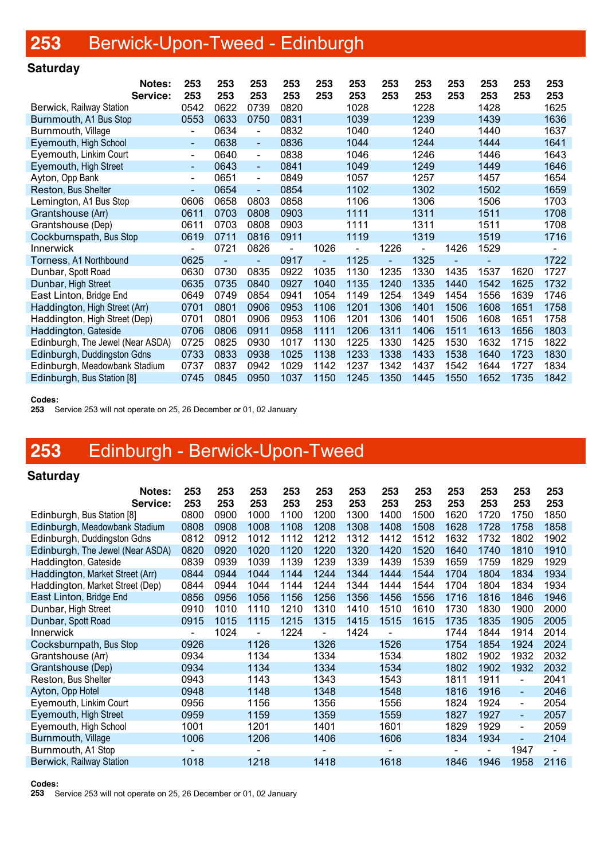# **253** Berwick-Upon-Tweed - Edinburgh

### **Saturday**

|                                  | Notes:<br>Service: | 253<br>253               | 253<br>253 | 253<br>253                   | 253<br>253 | 253<br>253               | 253<br>253 | 253<br>253 | 253<br>253 | 253<br>253 | 253<br>253 | 253<br>253 | 253<br>253     |
|----------------------------------|--------------------|--------------------------|------------|------------------------------|------------|--------------------------|------------|------------|------------|------------|------------|------------|----------------|
| Berwick, Railway Station         |                    | 0542                     | 0622       | 0739                         | 0820       |                          | 1028       |            | 1228       |            | 1428       |            | 1625           |
| Burnmouth, A1 Bus Stop           |                    | 0553                     | 0633       | 0750                         | 0831       |                          | 1039       |            | 1239       |            | 1439       |            | 1636           |
| Burnmouth, Village               |                    | $\frac{1}{2}$            | 0634       | $\qquad \qquad \blacksquare$ | 0832       |                          | 1040       |            | 1240       |            | 1440       |            | 1637           |
| Eyemouth, High School            |                    | $\blacksquare$           | 0638       | $\blacksquare$               | 0836       |                          | 1044       |            | 1244       |            | 1444       |            | 1641           |
| Eyemouth, Linkim Court           |                    | $\overline{\phantom{a}}$ | 0640       | $\overline{\phantom{a}}$     | 0838       |                          | 1046       |            | 1246       |            | 1446       |            | 1643           |
| Eyemouth, High Street            |                    | $\blacksquare$           | 0643       | $\blacksquare$               | 0841       |                          | 1049       |            | 1249       |            | 1449       |            | 1646           |
| Ayton, Opp Bank                  |                    | $\overline{\phantom{a}}$ | 0651       | $\overline{\phantom{a}}$     | 0849       |                          | 1057       |            | 1257       |            | 1457       |            | 1654           |
| Reston, Bus Shelter              |                    | $\blacksquare$           | 0654       | $\overline{\phantom{a}}$     | 0854       |                          | 1102       |            | 1302       |            | 1502       |            | 1659           |
| Lemington, A1 Bus Stop           |                    | 0606                     | 0658       | 0803                         | 0858       |                          | 1106       |            | 1306       |            | 1506       |            | 1703           |
| Grantshouse (Arr)                |                    | 0611                     | 0703       | 0808                         | 0903       |                          | 1111       |            | 1311       |            | 1511       |            | 1708           |
| Grantshouse (Dep)                |                    | 0611                     | 0703       | 0808                         | 0903       |                          | 1111       |            | 1311       |            | 1511       |            | 1708           |
| Cockburnspath, Bus Stop          |                    | 0619                     | 0711       | 0816                         | 0911       |                          | 1119       |            | 1319       |            | 1519       |            | 1716           |
| Innerwick                        |                    | $\blacksquare$           | 0721       | 0826                         |            | 1026                     |            | 1226       |            | 1426       | 1529       |            | $\overline{a}$ |
| Torness, A1 Northbound           |                    | 0625                     |            | $\overline{a}$               | 0917       | $\overline{\phantom{a}}$ | 1125       | Ξ.         | 1325       |            |            |            | 1722           |
| Dunbar, Spott Road               |                    | 0630                     | 0730       | 0835                         | 0922       | 1035                     | 1130       | 1235       | 1330       | 1435       | 1537       | 1620       | 1727           |
| Dunbar, High Street              |                    | 0635                     | 0735       | 0840                         | 0927       | 1040                     | 1135       | 1240       | 1335       | 1440       | 1542       | 1625       | 1732           |
| East Linton, Bridge End          |                    | 0649                     | 0749       | 0854                         | 0941       | 1054                     | 1149       | 1254       | 1349       | 1454       | 1556       | 1639       | 1746           |
| Haddington, High Street (Arr)    |                    | 0701                     | 0801       | 0906                         | 0953       | 1106                     | 1201       | 1306       | 1401       | 1506       | 1608       | 1651       | 1758           |
| Haddington, High Street (Dep)    |                    | 0701                     | 0801       | 0906                         | 0953       | 1106                     | 1201       | 1306       | 1401       | 1506       | 1608       | 1651       | 1758           |
| Haddington, Gateside             |                    | 0706                     | 0806       | 0911                         | 0958       | 1111                     | 1206       | 1311       | 1406       | 1511       | 1613       | 1656       | 1803           |
| Edinburgh, The Jewel (Near ASDA) |                    | 0725                     | 0825       | 0930                         | 1017       | 1130                     | 1225       | 1330       | 1425       | 1530       | 1632       | 1715       | 1822           |
| Edinburgh, Duddingston Gdns      |                    | 0733                     | 0833       | 0938                         | 1025       | 1138                     | 1233       | 1338       | 1433       | 1538       | 1640       | 1723       | 1830           |
| Edinburgh, Meadowbank Stadium    |                    | 0737                     | 0837       | 0942                         | 1029       | 1142                     | 1237       | 1342       | 1437       | 1542       | 1644       | 1727       | 1834           |
| Edinburgh, Bus Station [8]       |                    | 0745                     | 0845       | 0950                         | 1037       | 1150                     | 1245       | 1350       | 1445       | 1550       | 1652       | 1735       | 1842           |
|                                  |                    |                          |            |                              |            |                          |            |            |            |            |            |            |                |

#### **Codes:**

**253** Service 253 will not operate on 25, 26 December or 01, 02 January

# **253** Edinburgh - Berwick-Upon-Tweed

#### **Saturday**

| Notes:<br>Service:               | 253<br>253               | 253<br>253 | 253<br>253               | 253<br>253 | 253<br>253 | 253<br>253 | 253<br>253 | 253<br>253 | 253<br>253 | 253<br>253 | 253<br>253     | 253<br>253               |
|----------------------------------|--------------------------|------------|--------------------------|------------|------------|------------|------------|------------|------------|------------|----------------|--------------------------|
| Edinburgh, Bus Station [8]       | 0800                     | 0900       | 1000                     | 1100       | 1200       | 1300       | 1400       | 1500       | 1620       | 1720       | 1750           | 1850                     |
| Edinburgh, Meadowbank Stadium    | 0808                     | 0908       | 1008                     | 1108       | 1208       | 1308       | 1408       | 1508       | 1628       | 1728       | 1758           | 1858                     |
| Edinburgh, Duddingston Gdns      | 0812                     | 0912       | 1012                     | 1112       | 1212       | 1312       | 1412       | 1512       | 1632       | 1732       | 1802           | 1902                     |
| Edinburgh, The Jewel (Near ASDA) | 0820                     | 0920       | 1020                     | 1120       | 1220       | 1320       | 1420       | 1520       | 1640       | 1740       | 1810           | 1910                     |
| Haddington, Gateside             | 0839                     | 0939       | 1039                     | 1139       | 1239       | 1339       | 1439       | 1539       | 1659       | 1759       | 1829           | 1929                     |
| Haddington, Market Street (Arr)  | 0844                     | 0944       | 1044                     | 1144       | 1244       | 1344       | 1444       | 1544       | 1704       | 1804       | 1834           | 1934                     |
| Haddington, Market Street (Dep)  | 0844                     | 0944       | 1044                     | 1144       | 1244       | 1344       | 1444       | 1544       | 1704       | 1804       | 1834           | 1934                     |
| East Linton, Bridge End          | 0856                     | 0956       | 1056                     | 1156       | 1256       | 1356       | 1456       | 1556       | 1716       | 1816       | 1846           | 1946                     |
| Dunbar, High Street              | 0910                     | 1010       | 1110                     | 1210       | 1310       | 1410       | 1510       | 1610       | 1730       | 1830       | 1900           | 2000                     |
| Dunbar, Spott Road               | 0915                     | 1015       | 1115                     | 1215       | 1315       | 1415       | 1515       | 1615       | 1735       | 1835       | 1905           | 2005                     |
| Innerwick                        | $\overline{\phantom{a}}$ | 1024       | $\overline{\phantom{0}}$ | 1224       |            | 1424       |            |            | 1744       | 1844       | 1914           | 2014                     |
| Cocksburnpath, Bus Stop          | 0926                     |            | 1126                     |            | 1326       |            | 1526       |            | 1754       | 1854       | 1924           | 2024                     |
| Grantshouse (Arr)                | 0934                     |            | 1134                     |            | 1334       |            | 1534       |            | 1802       | 1902       | 1932           | 2032                     |
| Grantshouse (Dep)                | 0934                     |            | 1134                     |            | 1334       |            | 1534       |            | 1802       | 1902       | 1932           | 2032                     |
| Reston, Bus Shelter              | 0943                     |            | 1143                     |            | 1343       |            | 1543       |            | 1811       | 1911       | Ξ.             | 2041                     |
| Ayton, Opp Hotel                 | 0948                     |            | 1148                     |            | 1348       |            | 1548       |            | 1816       | 1916       | $\blacksquare$ | 2046                     |
| Eyemouth, Linkim Court           | 0956                     |            | 1156                     |            | 1356       |            | 1556       |            | 1824       | 1924       | $\blacksquare$ | 2054                     |
| Eyemouth, High Street            | 0959                     |            | 1159                     |            | 1359       |            | 1559       |            | 1827       | 1927       | $\blacksquare$ | 2057                     |
| Eyemouth, High School            | 1001                     |            | 1201                     |            | 1401       |            | 1601       |            | 1829       | 1929       | $\blacksquare$ | 2059                     |
| Burnmouth, Village               | 1006                     |            | 1206                     |            | 1406       |            | 1606       |            | 1834       | 1934       | ÷,             | 2104                     |
| Burnmouth, A1 Stop               |                          |            |                          |            |            |            |            |            |            |            | 1947           | $\overline{\phantom{0}}$ |
| Berwick, Railway Station         | 1018                     |            | 1218                     |            | 1418       |            | 1618       |            | 1846       | 1946       | 1958           | 2116                     |

#### **Codes:**

**253** Service 253 will not operate on 25, 26 December or 01, 02 January